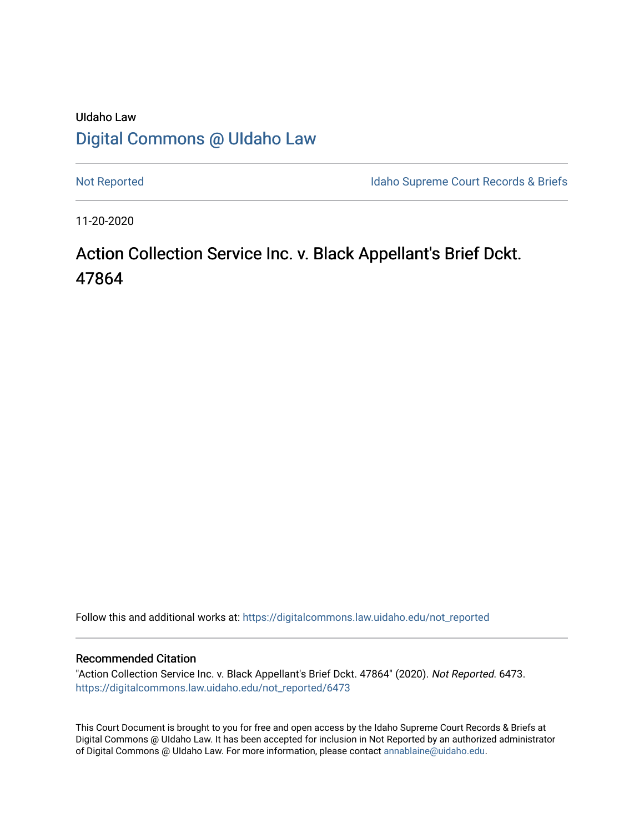# UIdaho Law [Digital Commons @ UIdaho Law](https://digitalcommons.law.uidaho.edu/)

[Not Reported](https://digitalcommons.law.uidaho.edu/not_reported) **Idaho Supreme Court Records & Briefs** 

11-20-2020

# Action Collection Service Inc. v. Black Appellant's Brief Dckt. 47864

Follow this and additional works at: [https://digitalcommons.law.uidaho.edu/not\\_reported](https://digitalcommons.law.uidaho.edu/not_reported?utm_source=digitalcommons.law.uidaho.edu%2Fnot_reported%2F6473&utm_medium=PDF&utm_campaign=PDFCoverPages) 

#### Recommended Citation

"Action Collection Service Inc. v. Black Appellant's Brief Dckt. 47864" (2020). Not Reported. 6473. [https://digitalcommons.law.uidaho.edu/not\\_reported/6473](https://digitalcommons.law.uidaho.edu/not_reported/6473?utm_source=digitalcommons.law.uidaho.edu%2Fnot_reported%2F6473&utm_medium=PDF&utm_campaign=PDFCoverPages)

This Court Document is brought to you for free and open access by the Idaho Supreme Court Records & Briefs at Digital Commons @ UIdaho Law. It has been accepted for inclusion in Not Reported by an authorized administrator of Digital Commons @ UIdaho Law. For more information, please contact [annablaine@uidaho.edu](mailto:annablaine@uidaho.edu).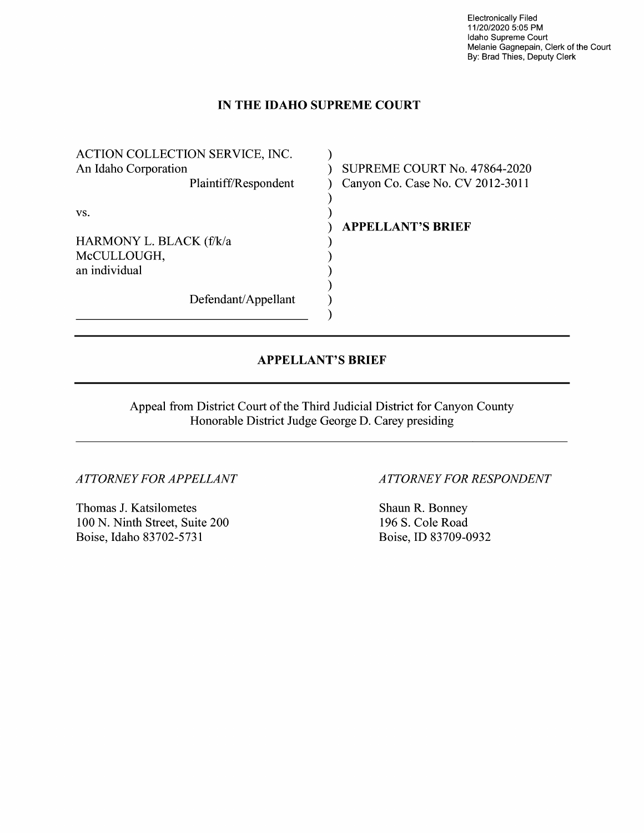Electronically Filed 11/20/2020 5:05 PM Idaho Supreme Court Melanie Gagnepain, Clerk of the Court By: Brad Thies, Deputy Clerk

# **IN THE IDAHO SUPREME COURT**

)

) )

) ) ) ) ) )

ACTION COLLECTION SERVICE, INC. An Idaho Corporation Plaintiff/Respondent vs. HARMONY L. BLACK (f/k/a McCULLOUGH, an individual

Defendant/Appellant

) SUPREME COURT No. 47864-2020 ) Canyon Co. Case No. CV 2012-3011

) **APPELLANT'S BRIEF** 

# **APPELLANT'S BRIEF**

Appeal from District Court of the Third Judicial District for Canyon County Honorable District Judge George D. Carey presiding

*ATTORNEY FOR APPELLANT* 

Thomas J. Katsilometes 100 N. Ninth Street, Suite 200 Boise, Idaho 83702-5731

# *ATTORNEY FOR RESPONDENT*

Shaun R. Bonney 196 S. Cole Road Boise, ID 83709-0932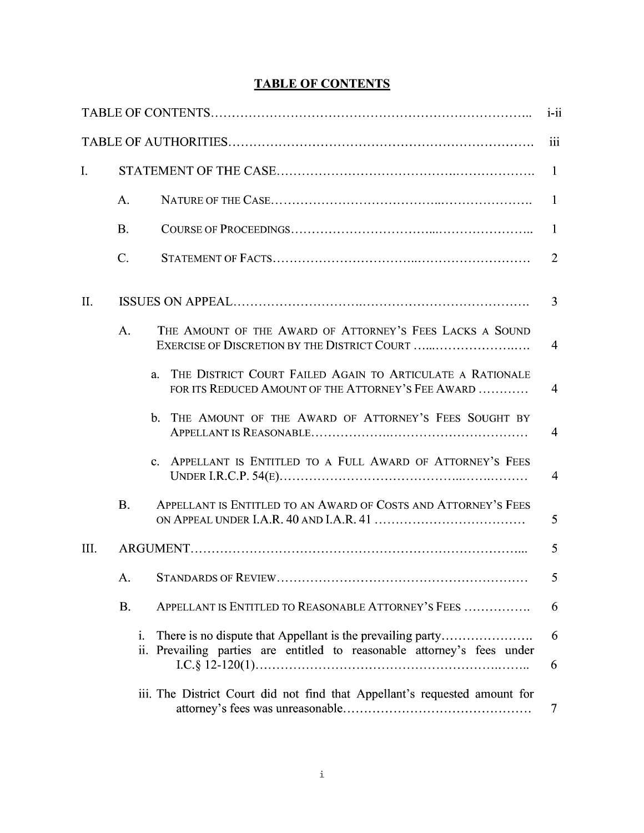# **TABLE OF CONTENTS**

|                |           |                                                                                                                                          | $i$ -ii        |
|----------------|-----------|------------------------------------------------------------------------------------------------------------------------------------------|----------------|
|                |           |                                                                                                                                          | iii            |
| $\mathbf{I}$ . |           |                                                                                                                                          | $\mathbf{1}$   |
|                | A.        |                                                                                                                                          | $\mathbf{1}$   |
|                | <b>B.</b> |                                                                                                                                          | $\mathbf{1}$   |
|                | C.        |                                                                                                                                          | 2              |
| II.            |           |                                                                                                                                          | 3              |
|                | A.        | THE AMOUNT OF THE AWARD OF ATTORNEY'S FEES LACKS A SOUND<br>EXERCISE OF DISCRETION BY THE DISTRICT COURT                                 | $\overline{4}$ |
|                |           | THE DISTRICT COURT FAILED AGAIN TO ARTICULATE A RATIONALE<br>a.<br>FOR ITS REDUCED AMOUNT OF THE ATTORNEY'S FEE AWARD                    | $\overline{4}$ |
|                |           | b. THE AMOUNT OF THE AWARD OF ATTORNEY'S FEES SOUGHT BY                                                                                  | 4              |
|                |           | APPELLANT IS ENTITLED TO A FULL AWARD OF ATTORNEY'S FEES<br>$C_{-}$                                                                      | 4              |
|                | <b>B.</b> | APPELLANT IS ENTITLED TO AN AWARD OF COSTS AND ATTORNEY'S FEES                                                                           | 5              |
| III.           |           |                                                                                                                                          |                |
|                | A.        |                                                                                                                                          | Ć.             |
|                | <b>B.</b> | APPELLANT IS ENTITLED TO REASONABLE ATTORNEY'S FEES                                                                                      | 6              |
|                | i.        | There is no dispute that Appellant is the prevailing party<br>Prevailing parties are entitled to reasonable attorney's fees under<br>ii. | 6              |
|                |           | iii. The District Court did not find that Appellant's requested amount for                                                               | 6              |
|                |           |                                                                                                                                          | 7              |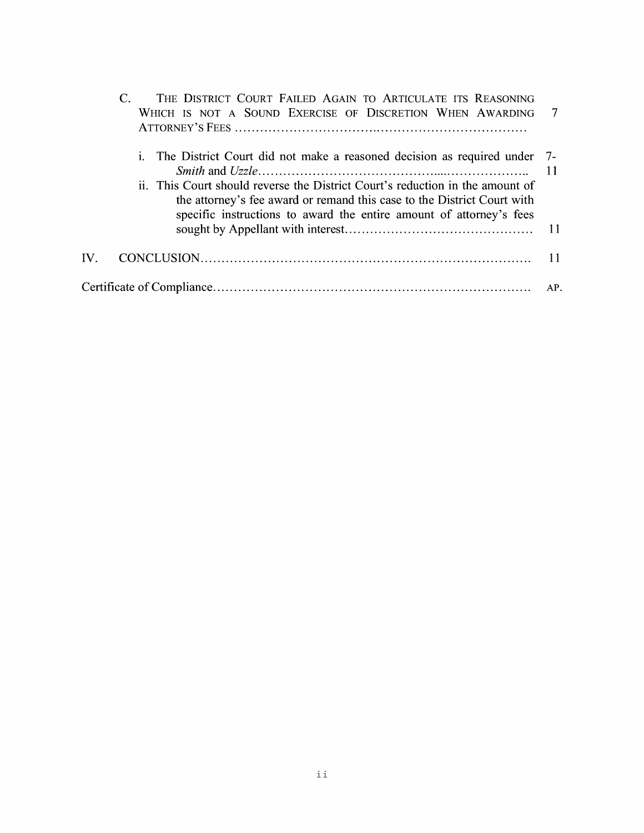|     | THE DISTRICT COURT FAILED AGAIN TO ARTICULATE ITS REASONING<br>WHICH IS NOT A SOUND EXERCISE OF DISCRETION WHEN AWARDING 7                                                                                                                                                                                     |     |
|-----|----------------------------------------------------------------------------------------------------------------------------------------------------------------------------------------------------------------------------------------------------------------------------------------------------------------|-----|
|     | i. The District Court did not make a reasoned decision as required under 7-<br>ii. This Court should reverse the District Court's reduction in the amount of<br>the attorney's fee award or remand this case to the District Court with<br>specific instructions to award the entire amount of attorney's fees |     |
|     |                                                                                                                                                                                                                                                                                                                |     |
| IV. |                                                                                                                                                                                                                                                                                                                |     |
|     |                                                                                                                                                                                                                                                                                                                | AP. |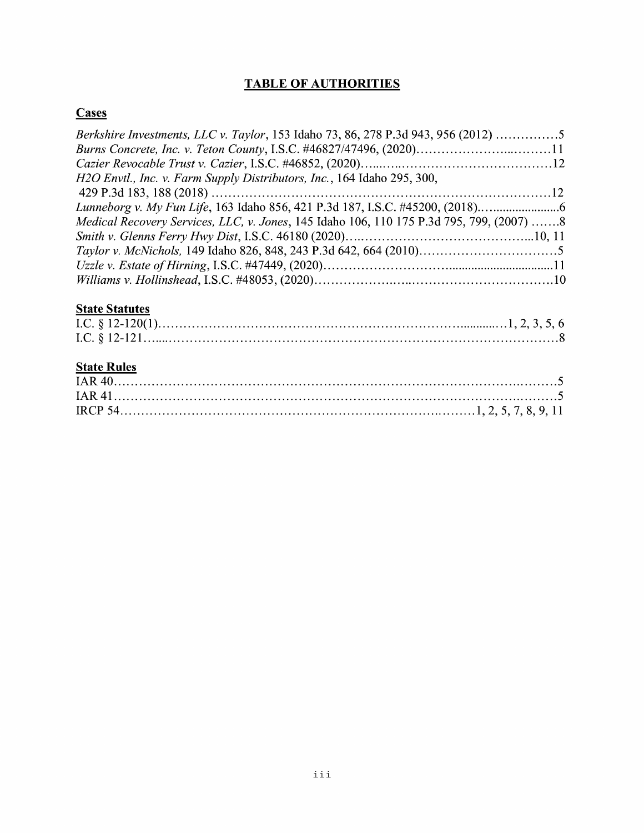# **TABLE OF AUTHORITIES**

# **Cases**

| Berkshire Investments, LLC v. Taylor, 153 Idaho 73, 86, 278 P.3d 943, 956 (2012) 5       |  |
|------------------------------------------------------------------------------------------|--|
|                                                                                          |  |
|                                                                                          |  |
| H2O Envtl., Inc. v. Farm Supply Distributors, Inc., 164 Idaho 295, 300,                  |  |
|                                                                                          |  |
| Lunneborg v. My Fun Life, 163 Idaho 856, 421 P.3d 187, I.S.C. #45200, (2018)             |  |
| Medical Recovery Services, LLC, v. Jones, 145 Idaho 106, 110 175 P.3d 795, 799, (2007) 8 |  |
|                                                                                          |  |
|                                                                                          |  |
|                                                                                          |  |
|                                                                                          |  |

# **State Statutes**

# **State Rules**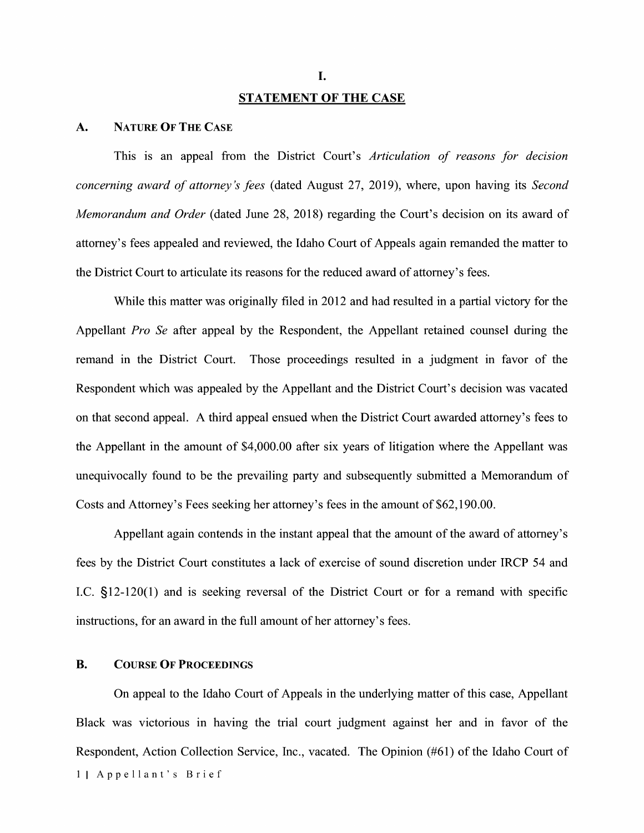#### **STATEMENT OF THE CASE**

#### **A. NATURE OF THE CASE**

This is an appeal from the District Court's *Articulation of reasons for decision concerning award of attorney's fees* (dated August 27, 2019), where, upon having its *Second Memorandum and Order* (dated June 28, 2018) regarding the Court's decision on its award of attorney's fees appealed and reviewed, the Idaho Court of Appeals again remanded the matter to the District Court to articulate its reasons for the reduced award of attorney's fees.

While this matter was originally filed in 2012 and had resulted in a partial victory for the Appellant *Pro Se* after appeal by the Respondent, the Appellant retained counsel during the remand in the District Court. Those proceedings resulted in a judgment in favor of the Respondent which was appealed by the Appellant and the District Court's decision was vacated on that second appeal. A third appeal ensued when the District Court awarded attorney's fees to the Appellant in the amount of \$4,000.00 after six years of litigation where the Appellant was unequivocally found to be the prevailing party and subsequently submitted a Memorandum of Costs and Attorney's Fees seeking her attorney's fees in the amount of \$62,190.00.

Appellant again contends in the instant appeal that the amount of the award of attorney's fees by the District Court constitutes a lack of exercise of sound discretion under IRCP 54 and LC. §12-120(1) and is seeking reversal of the District Court or for a remand with specific instructions, for an award in the full amount of her attorney's fees.

## **B. COURSE OF PROCEEDINGS**

On appeal to the Idaho Court of Appeals in the underlying matter of this case, Appellant Black was victorious in having the trial court judgment against her and in favor of the Respondent, Action Collection Service, Inc., vacated. The Opinion (#61) of the Idaho Court of 11 Appellant's Brief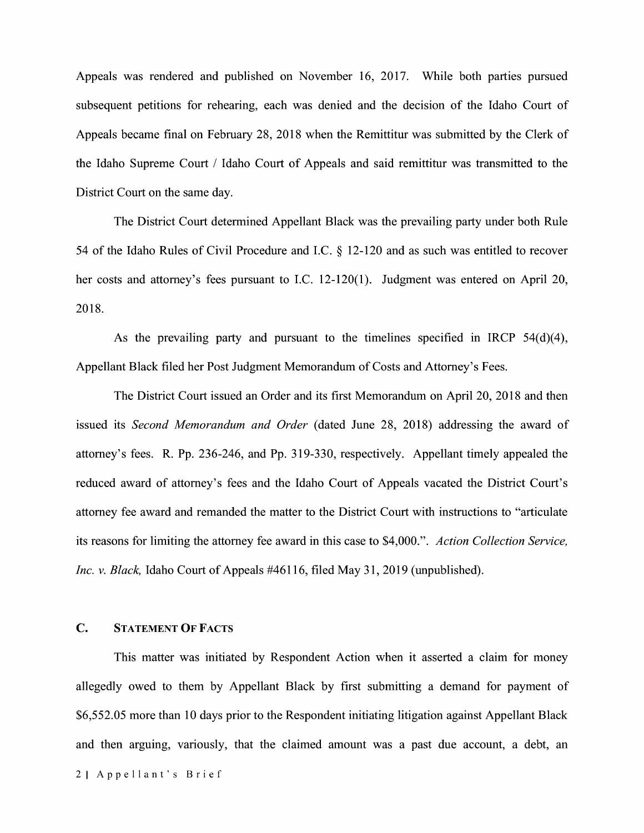Appeals was rendered and published on November 16, 2017. While both parties pursued subsequent petitions for rehearing, each was denied and the decision of the Idaho Court of Appeals became final on February 28, 2018 when the Remittitur was submitted by the Clerk of the Idaho Supreme Court/ Idaho Court of Appeals and said remittitur was transmitted to the District Court on the same day.

The District Court determined Appellant Black was the prevailing party under both Rule 54 of the Idaho Rules of Civil Procedure and I.C. § 12-120 and as such was entitled to recover her costs and attorney's fees pursuant to I.C. 12-120(1). Judgment was entered on April 20, 2018.

As the prevailing party and pursuant to the timelines specified in IRCP 54(d)(4), Appellant Black filed her Post Judgment Memorandum of Costs and Attorney's Fees.

The District Court issued an Order and its first Memorandum on April 20, 2018 and then issued its *Second Memorandum and Order* ( dated June 28, 2018) addressing the award of attorney's fees. R. Pp. 236-246, and Pp. 319-330, respectively. Appellant timely appealed the reduced award of attorney's fees and the Idaho Court of Appeals vacated the District Court's attorney fee award and remanded the matter to the District Court with instructions to "articulate its reasons for limiting the attorney fee award in this case to \$4,000.". *Action Collection Service, Inc. v. Black,* Idaho Court of Appeals #46116, filed May 31, 2019 (unpublished).

## **C. STATEMENT OF FACTS**

This matter was initiated by Respondent Action when it asserted a claim for money allegedly owed to them by Appellant Black by first submitting a demand for payment of \$6,552.05 more than 10 days prior to the Respondent initiating litigation against Appellant Black and then arguing, variously, that the claimed amount was a past due account, a debt, an 21 Appellant's Brief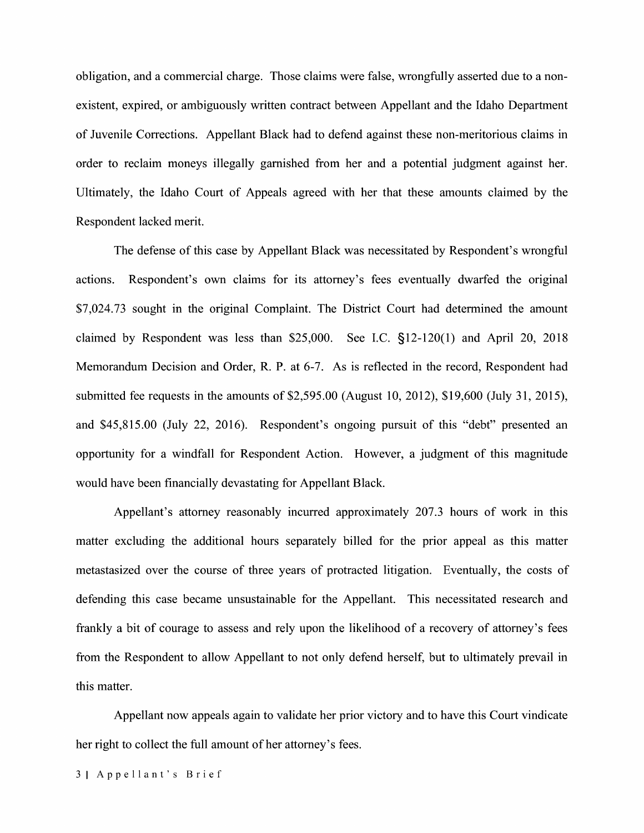obligation, and a commercial charge. Those claims were false, wrongfully asserted due to a nonexistent, expired, or ambiguously written contract between Appellant and the Idaho Department of Juvenile Corrections. Appellant Black had to defend against these non-meritorious claims in order to reclaim moneys illegally garnished from her and a potential judgment against her. Ultimately, the Idaho Court of Appeals agreed with her that these amounts claimed by the Respondent lacked merit.

The defense of this case by Appellant Black was necessitated by Respondent's wrongful actions. Respondent's own claims for its attorney's fees eventually dwarfed the original \$7,024.73 sought in the original Complaint. The District Court had determined the amount claimed by Respondent was less than \$25,000. See LC. §12-120(1) and April 20, 2018 Memorandum Decision and Order, R. P. at 6-7. As is reflected in the record, Respondent had submitted fee requests in the amounts of \$2,595.00 (August 10, 2012), \$19,600 (July 31, 2015), and \$45,815.00 (July 22, 2016). Respondent's ongoing pursuit of this "debt" presented an opportunity for a windfall for Respondent Action. However, a judgment of this magnitude would have been financially devastating for Appellant Black.

Appellant's attorney reasonably incurred approximately 207.3 hours of work in this matter excluding the additional hours separately billed for the prior appeal as this matter metastasized over the course of three years of protracted litigation. Eventually, the costs of defending this case became unsustainable for the Appellant. This necessitated research and frankly a bit of courage to assess and rely upon the likelihood of a recovery of attorney's fees from the Respondent to allow Appellant to not only defend herself, but to ultimately prevail in this matter.

Appellant now appeals again to validate her prior victory and to have this Court vindicate her right to collect the full amount of her attorney's fees.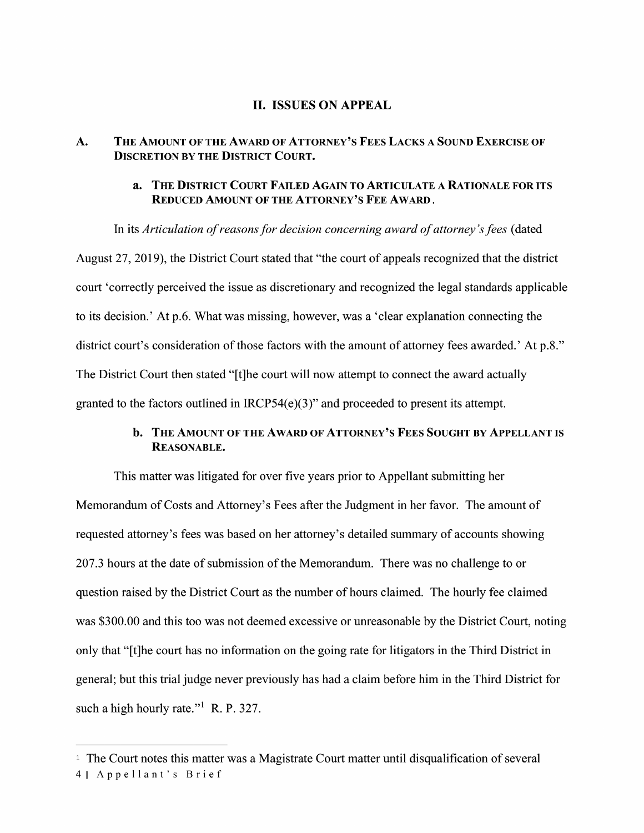### II. **ISSUES ON APPEAL**

## **A. THE AMOUNT OF THE AWARD OF ATTORNEY'S FEES LACKS A SOUND EXERCISE OF DISCRETION BY THE DISTRICT COURT.**

### **a. THE DISTRICT COURT FAILED AGAIN TO ARTICULATE A RATIONALE FOR ITS REDUCED AMOUNT OF THE ATTORNEY'S FEE AWARD.**

In its *Articulation of reasons for decision concerning award of attorney's fees* ( dated August 27, 2019), the District Court stated that "the court of appeals recognized that the district court 'correctly perceived the issue as discretionary and recognized the legal standards applicable to its decision.' At p.6. What was missing, however, was a 'clear explanation connecting the district court's consideration of those factors with the amount of attorney fees awarded.' At p.8." The District Court then stated "[t]he court will now attempt to connect the award actually granted to the factors outlined in IRCP54 $(e)(3)$ " and proceeded to present its attempt.

# **b. THE AMOUNT OF THE AWARD OF ATTORNEY'S FEES SOUGHT BY APPELLANT IS REASONABLE.**

This matter was litigated for over five years prior to Appellant submitting her Memorandum of Costs and Attorney's Fees after the Judgment in her favor. The amount of requested attorney's fees was based on her attorney's detailed summary of accounts showing 207 .3 hours at the date of submission of the Memorandum. There was no challenge to or question raised by the District Court as the number of hours claimed. The hourly fee claimed was \$300.00 and this too was not deemed excessive or unreasonable by the District Court, noting only that "[t]he court has no information on the going rate for litigators in the Third District in general; but this trial judge never previously has had a claim before him in the Third District for such a high hourly rate."<sup>1</sup> R. P. 327.

<sup>&</sup>lt;sup>1</sup> The Court notes this matter was a Magistrate Court matter until disqualification of several 41 Appellant's Brief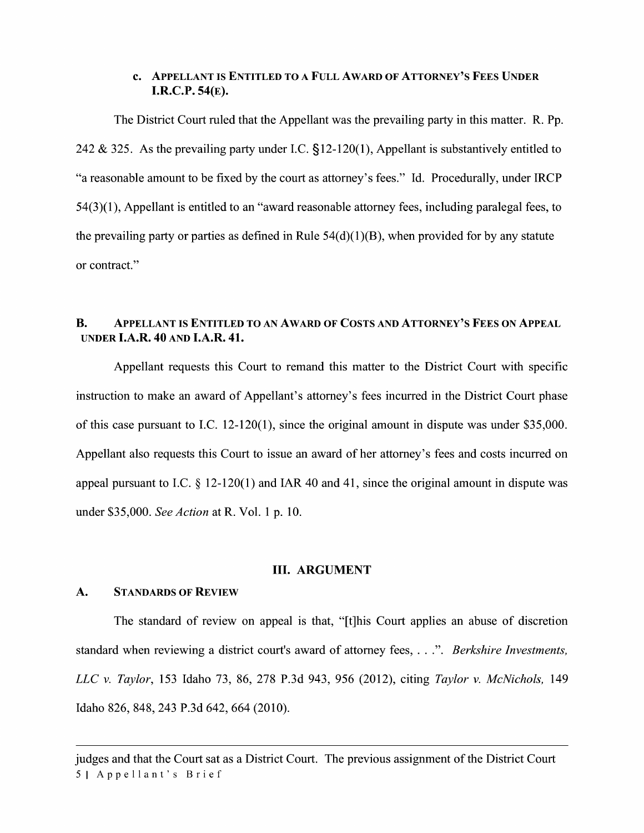### **c. APPELLANT IS ENTITLED TO A FULL AWARD OF ATTORNEY'S FEES UNDER I.R.C.P. 54(E).**

The District Court ruled that the Appellant was the prevailing party in this matter. R. Pp. 242 & 325. As the prevailing party under LC. §12-120(1), Appellant is substantively entitled to "a reasonable amount to be fixed by the court as attorney's fees." Id. Procedurally, under IRCP 54(3)(1 ), Appellant is entitled to an "award reasonable attorney fees, including paralegal fees, to the prevailing party or parties as defined in Rule  $54(d)(1)(B)$ , when provided for by any statute or contract."

# **B. APPELLANT IS ENTITLED TO AN AWARD OF COSTS AND ATTORNEY'S FEES ON APPEAL UNDER I.A.R. 40 AND I.A.R. 41.**

Appellant requests this Court to remand this matter to the District Court with specific instruction to make an award of Appellant's attorney's fees incurred in the District Court phase of this case pursuant to LC. 12-120(1), since the original amount in dispute was under \$35,000. Appellant also requests this Court to issue an award of her attorney's fees and costs incurred on appeal pursuant to I.C.  $\S$  12-120(1) and IAR 40 and 41, since the original amount in dispute was under \$35,000. *See Action* at R. Vol. 1 p. 10.

#### III. **ARGUMENT**

#### **A. STANDARDS OF REVIEW**

The standard of review on appeal is that, "[t]his Court applies an abuse of discretion standard when reviewing a district court's award of attorney fees, ... ". *Berkshire Investments, LLC v. Taylor,* 153 Idaho 73, 86, 278 P.3d 943, 956 (2012), citing *Taylor v. McNichols,* 149 Idaho 826,848,243 P.3d 642, 664 (2010).

judges and that the Court sat as a District Court. The previous assignment of the District Court 51 Appellant's Brief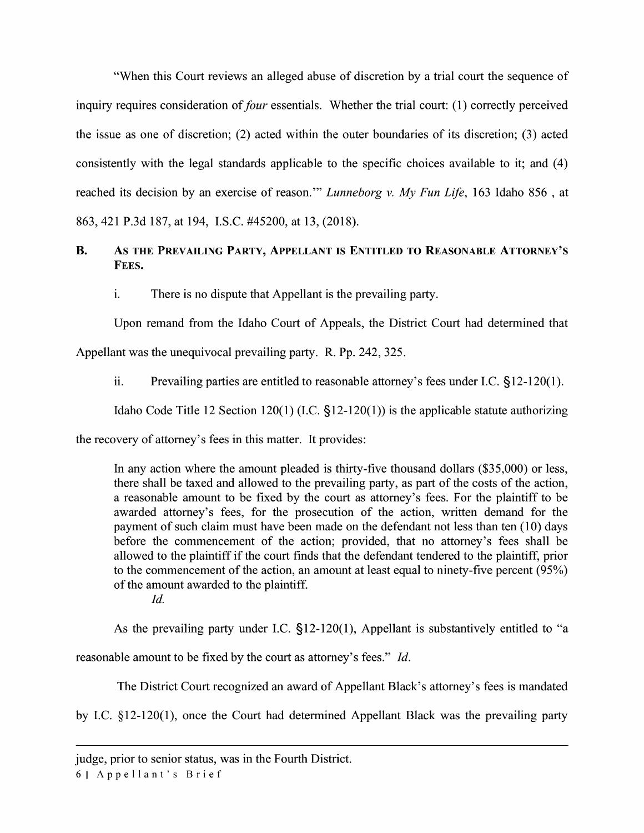"When this Court reviews an alleged abuse of discretion by a trial court the sequence of inquiry requires consideration of *four* essentials. Whether the trial court: (1) correctly perceived the issue as one of discretion; (2) acted within the outer boundaries of its discretion; (3) acted consistently with the legal standards applicable to the specific choices available to it; and (4) reached its decision by an exercise of reason."' *Lunneborg v. My Fun Life,* 163 Idaho 856 , at 863,421 P.3d 187, at 194, LS.C. #45200, at 13, (2018).

# **B. AS THE PREVAILING PARTY, APPELLANT IS ENTITLED TO REASONABLE ATTORNEY'S FEES.**

1. There is no dispute that Appellant is the prevailing party.

Upon remand from the Idaho Court of Appeals, the District Court had determined that

Appellant was the unequivocal prevailing party. R. Pp. 242, 325.

ii. Prevailing parties are entitled to reasonable attorney's fees under I.C.  $\S$ 12-120(1).

Idaho Code Title 12 Section 120(1) (I.C.  $\S$ 12-120(1)) is the applicable statute authorizing

the recovery of attorney's fees in this matter. It provides:

In any action where the amount pleaded is thirty-five thousand dollars (\$35,000) or less, there shall be taxed and allowed to the prevailing party, as part of the costs of the action, a reasonable amount to be fixed by the court as attorney's fees. For the plaintiff to be awarded attorney's fees, for the prosecution of the action, written demand for the payment of such claim must have been made on the defendant not less than ten (10) days before the commencement of the action; provided, that no attorney's fees shall be allowed to the plaintiff if the court finds that the defendant tendered to the plaintiff, prior to the commencement of the action, an amount at least equal to ninety-five percent (95%) of the amount awarded to the plaintiff.

*Id.* 

As the prevailing party under LC. §12-120(1), Appellant is substantively entitled to "a

reasonable amount to be fixed by the court as attorney's fees." *Id.* 

The District Court recognized an award of Appellant Black's attorney's fees is mandated

by LC. §12-120(1), once the Court had determined Appellant Black was the prevailing party

61 Appellant's Brief

judge, prior to senior status, was in the Fourth District.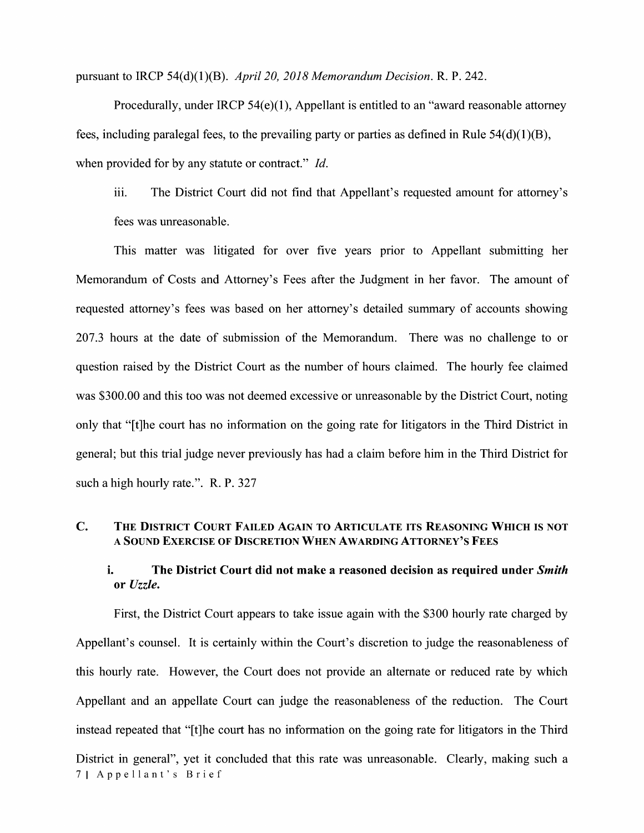pursuant to IRCP 54(d)(l)(B). *April 20, 2018 Memorandum Decision.* R. P. 242.

Procedurally, under IRCP  $54(e)(1)$ , Appellant is entitled to an "award reasonable attorney fees, including paralegal fees, to the prevailing party or parties as defined in Rule  $54(d)(1)(B)$ , when provided for by any statute or contract." *Id.* 

111. The District Court did not find that Appellant's requested amount for attorney's fees was unreasonable.

This matter was litigated for over five years prior to Appellant submitting her Memorandum of Costs and Attorney's Fees after the Judgment in her favor. The amount of requested attorney's fees was based on her attorney's detailed summary of accounts showing 207 .3 hours at the date of submission of the Memorandum. There was no challenge to or question raised by the District Court as the number of hours claimed. The hourly fee claimed was \$300.00 and this too was not deemed excessive or unreasonable by the District Court, noting only that "[t]he court has no information on the going rate for litigators in the Third District in general; but this trial judge never previously has had a claim before him in the Third District for such a high hourly rate.". R. P. 327

### **C. THE DISTRICT COURT FAILED AGAIN TO ARTICULATE ITS REASONING WHICH IS NOT A SOUND EXERCISE OF DISCRETION WHEN AWARDING ATTORNEY'S FEES**

# i. **The District Court did not make a reasoned decision as required under** *Smith*  **or** *Uzzle.*

First, the District Court appears to take issue again with the \$300 hourly rate charged by Appellant's counsel. It is certainly within the Court's discretion to judge the reasonableness of this hourly rate. However, the Court does not provide an alternate or reduced rate by which Appellant and an appellate Court can judge the reasonableness of the reduction. The Court instead repeated that "[t]he court has no information on the going rate for litigators in the Third District in general", yet it concluded that this rate was unreasonable. Clearly, making such a 71 Appellant's Brief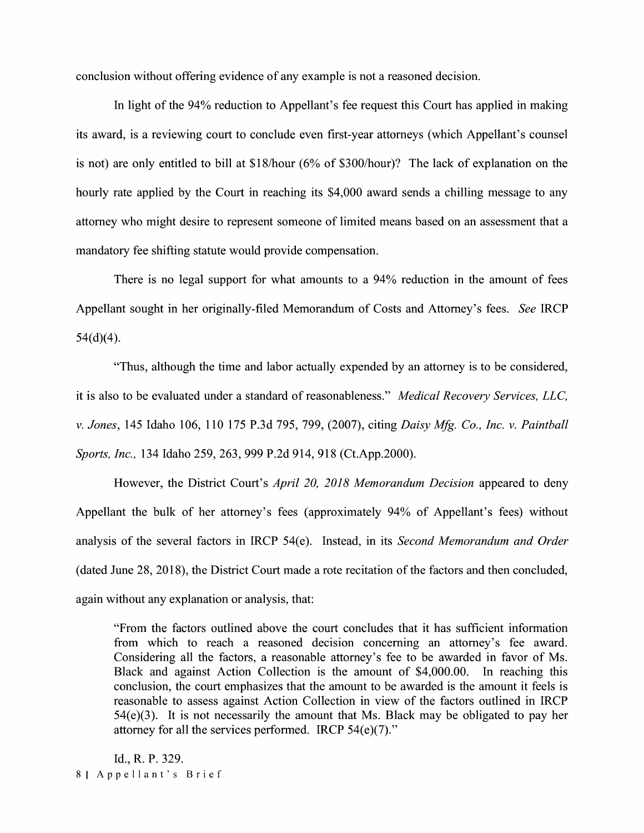conclusion without offering evidence of any example is not a reasoned decision.

In light of the 94% reduction to Appellant's fee request this Court has applied in making its award, is a reviewing court to conclude even first-year attorneys (which Appellant's counsel is not) are only entitled to bill at \$18/hour (6% of \$300/hour)? The lack of explanation on the hourly rate applied by the Court in reaching its \$4,000 award sends a chilling message to any attorney who might desire to represent someone of limited means based on an assessment that a mandatory fee shifting statute would provide compensation.

There is no legal support for what amounts to a 94% reduction in the amount of fees Appellant sought in her originally-filed Memorandum of Costs and Attorney's fees. *See* IRCP  $54(d)(4)$ .

"Thus, although the time and labor actually expended by an attorney is to be considered, it is also to be evaluated under a standard of reasonableness." *Medical Recovery Services, LLC, v. Jones,* 145 Idaho 106, 110 175 P.3d 795, 799, (2007), citing *Daisy Mfg. Co., Inc. v. Paintball Sports, Inc.,* 134 Idaho 259,263,999 P.2d 914,918 (Ct.App.2000).

However, the District Court's *April 20, 2018 Memorandum Decision* appeared to deny Appellant the bulk of her attorney's fees (approximately 94% of Appellant's fees) without analysis of the several factors in IRCP 54(e). Instead, in its *Second Memorandum and Order*  ( dated June 28, 2018), the District Court made a rote recitation of the factors and then concluded, again without any explanation or analysis, that:

"From the factors outlined above the court concludes that it has sufficient information from which to reach a reasoned decision concerning an attorney's fee award. Considering all the factors, a reasonable attorney's fee to be awarded in favor of Ms. Black and against Action Collection is the amount of \$4,000.00. In reaching this conclusion, the court emphasizes that the amount to be awarded is the amount it feels is reasonable to assess against Action Collection in view of the factors outlined in IRCP 54(e)(3). It is not necessarily the amount that Ms. Black may be obligated to pay her attorney for all the services performed. IRCP 54(e)(7)."

Id., R. P. 329. 81 Appellant's Brief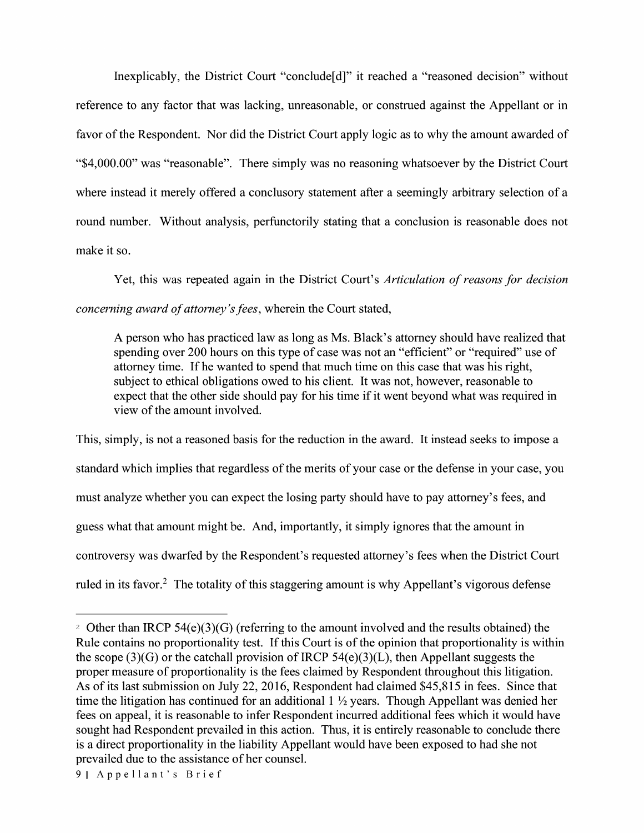Inexplicably, the District Court "conclude[d]" it reached a "reasoned decision" without reference to any factor that was lacking, unreasonable, or construed against the Appellant or in favor of the Respondent. Nor did the District Court apply logic as to why the amount awarded of "\$4,000.00" was "reasonable". There simply was no reasoning whatsoever by the District Court where instead it merely offered a conclusory statement after a seemingly arbitrary selection of a round number. Without analysis, perfunctorily stating that a conclusion is reasonable does not make it so.

Yet, this was repeated again in the District Court's *Articulation of reasons for decision concerning award of attorney's fees,* wherein the Court stated,

A person who has practiced law as long as Ms. Black's attorney should have realized that spending over 200 hours on this type of case was not an "efficient" or "required" use of attorney time. If he wanted to spend that much time on this case that was his right, subject to ethical obligations owed to his client. It was not, however, reasonable to expect that the other side should pay for his time if it went beyond what was required in view of the amount involved.

This, simply, is not a reasoned basis for the reduction in the award. It instead seeks to impose a standard which implies that regardless of the merits of your case or the defense in your case, you must analyze whether you can expect the losing party should have to pay attorney's fees, and guess what that amount might be. And, importantly, it simply ignores that the amount in controversy was dwarfed by the Respondent's requested attorney's fees when the District Court ruled in its favor.<sup>2</sup> The totality of this staggering amount is why Appellant's vigorous defense

<sup>&</sup>lt;sup>2</sup> Other than IRCP 54(e)(3)(G) (referring to the amount involved and the results obtained) the Rule contains no proportionality test. If this Court is of the opinion that proportionality is within the scope (3)(G) or the catchall provision of IRCP  $54(e)(3)(L)$ , then Appellant suggests the proper measure of proportionality is the fees claimed by Respondent throughout this litigation. As of its last submission on July 22, 2016, Respondent had claimed \$45,815 in fees. Since that time the litigation has continued for an additional 1 ½ years. Though Appellant was denied her fees on appeal, it is reasonable to infer Respondent incurred additional fees which it would have sought had Respondent prevailed in this action. Thus, it is entirely reasonable to conclude there is a direct proportionality in the liability Appellant would have been exposed to had she not prevailed due to the assistance of her counsel.

<sup>91</sup> Appellant's Brief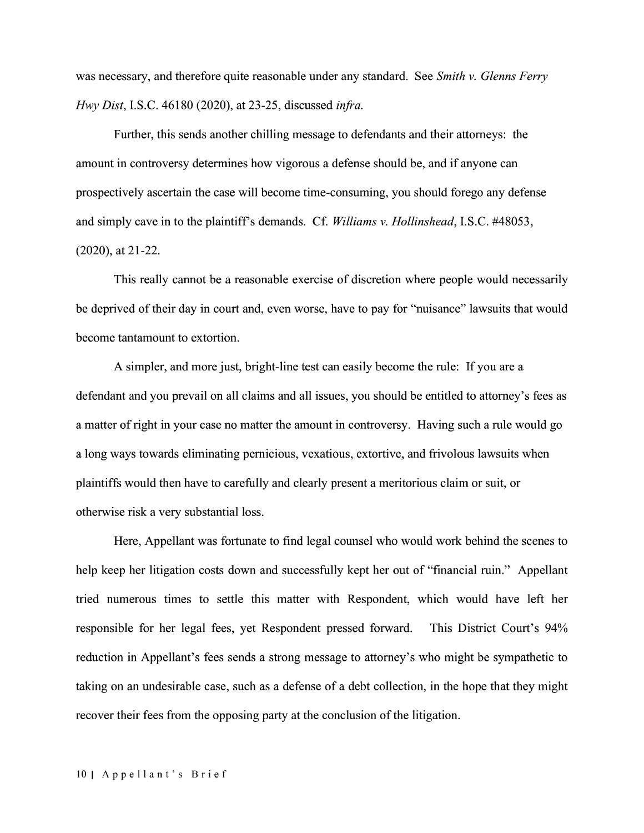was necessary, and therefore quite reasonable under any standard. See *Smith v. Glenns Ferry Hwy Dist,* I.S.C. 46180 (2020), at 23-25, discussed *infra.* 

Further, this sends another chilling message to defendants and their attorneys: the amount in controversy determines how vigorous a defense should be, and if anyone can prospectively ascertain the case will become time-consuming, you should forego any defense and simply cave in to the plaintiff's demands. Cf. *Williams v. Hollinshead*, I.S.C. #48053, (2020), at 21-22.

This really cannot be a reasonable exercise of discretion where people would necessarily be deprived of their day in court and, even worse, have to pay for "nuisance" lawsuits that would become tantamount to extortion.

A simpler, and more just, bright-line test can easily become the rule: If you are a defendant and you prevail on all claims and all issues, you should be entitled to attorney's fees as a matter of right in your case no matter the amount in controversy. Having such a rule would go a long ways towards eliminating pernicious, vexatious, extortive, and frivolous lawsuits when plaintiffs would then have to carefully and clearly present a meritorious claim or suit, or otherwise risk a very substantial loss.

Here, Appellant was fortunate to find legal counsel who would work behind the scenes to help keep her litigation costs down and successfully kept her out of "financial ruin." Appellant tried numerous times to settle this matter with Respondent, which would have left her responsible for her legal fees, yet Respondent pressed forward. This District Court's 94% reduction in Appellant's fees sends a strong message to attorney's who might be sympathetic to taking on an undesirable case, such as a defense of a debt collection, in the hope that they might recover their fees from the opposing party at the conclusion of the litigation.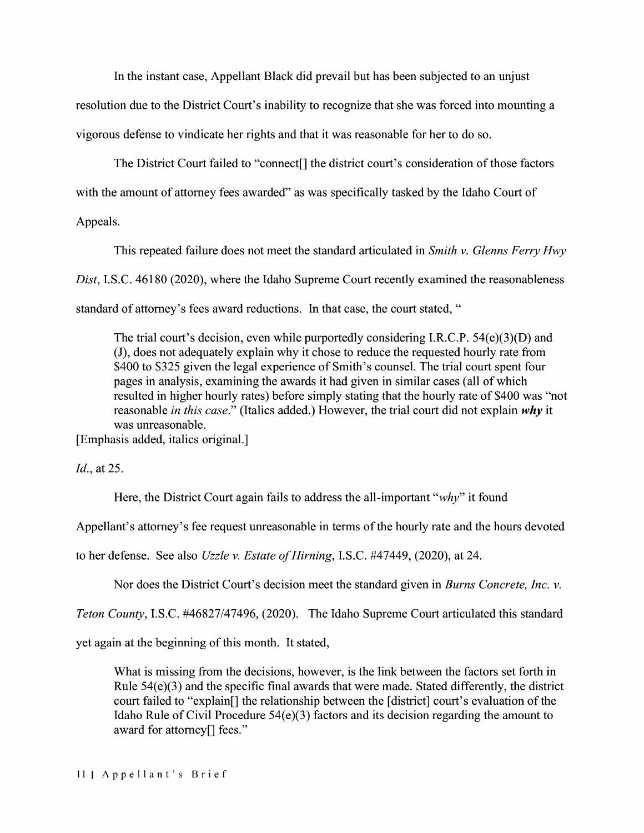In the instant case, Appellant Black did prevail but has been subjected to an unjust

resolution due to the District Court's inability to recognize that she was forced into mounting a vigorous defense to vindicate her rights and that it was reasonable for her to do so.

The District Court failed to "connect[] the district court's consideration of those factors

with the amount of attorney fees awarded" as was specifically tasked by the Idaho Court of

Appeals.

This repeated failure does not meet the standard articulated in *Smith v. Glenns Ferry Hwy Dist,* I.S.C. 46180 (2020), where the Idaho Supreme Court recently examined the reasonableness standard of attorney's fees award reductions. In that case, the court stated, "

The trial court's decision, even while purportedly considering I.R.C.P. 54(e)(3)(D) and (J), does not adequately explain why it chose to reduce the requested hourly rate from \$400 to \$325 given the legal experience of Smith's counsel. The trial court spent four pages in analysis, examining the awards it had given in similar cases ( all of which resulted in higher hourly rates) before simply stating that the hourly rate of \$400 was "not reasonable *in this case."* (Italics added.) However, the trial court did not explain why it was unreasonable.

[Emphasis added, italics original.]

*Id.,* at 25.

Here, the District Court again fails to address the all-important *"why"* it found

Appellant's attorney's fee request unreasonable in terms of the hourly rate and the hours devoted

to her defense. See also *Uzzle v. Estate of Hirning,* I.S.C. #47449, (2020), at 24.

Nor does the District Court's decision meet the standard given in *Burns Concrete, Inc. v.* 

*Teton County,* I.S.C. #46827/47496, (2020). The Idaho Supreme Court articulated this standard

yet again at the beginning of this month. It stated,

What is missing from the decisions, however, is the link between the factors set forth in Rule 54(e)(3) and the specific final awards that were made. Stated differently, the district court failed to "explain[] the relationship between the [district] court's evaluation of the Idaho Rule of Civil Procedure 54(e)(3) factors and its decision regarding the amount to award for attorney[] fees."